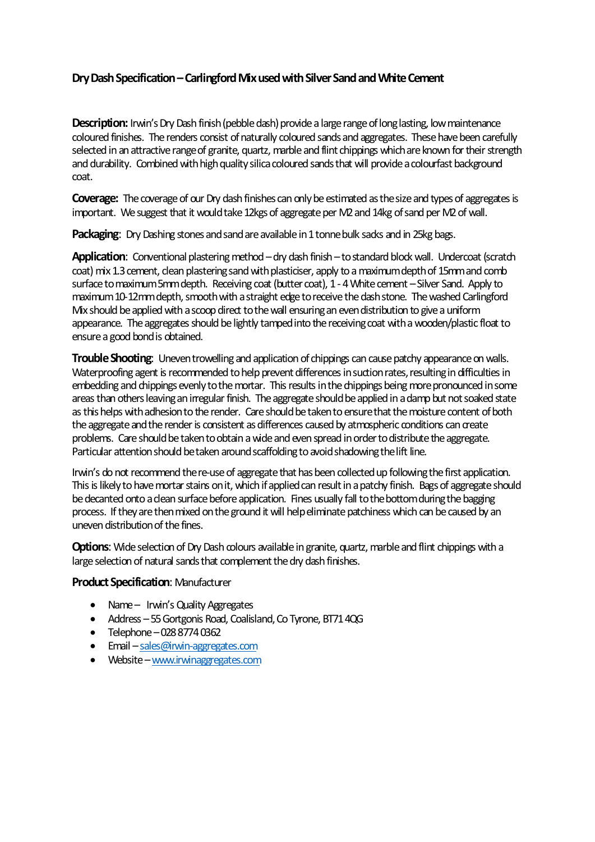## **Dry Dash Specification–Carlingford Mixused with Silver Sand and White Cement**

**Description:** Irwin's Dry Dash finish (pebble dash) provide a large range of long lasting, low maintenance coloured finishes. The renders consist of naturally coloured sands and aggregates. These have been carefully selected in an attractive range of granite, quartz, marble and flint chippings which are known for their strength and durability. Combined with high quality silica coloured sands that will provide a colourfast background coat.

**Coverage:** The coverage of our Dry dash finishes can only be estimated as the size and types of aggregates is important. We suggest that it would take 12kgs of aggregate per M2 and 14kg of sand per M2 of wall.

Packaging: Dry Dashing stones and sand are available in 1 tonne bulk sadks and in 25kg bags.

Application: Conventional plastering method – dry dash finish – to standard block wall. Undercoat (scratch coat) mix 1.3 cement, clean plastering sand with plasticiser, apply to a maximum depth of 15mm and comb surface to maximum 5mm depth. Receiving coat (butter coat), 1 - 4 White cement – Silver Sand. Apply to maximum 10-12mm depth, smooth with a straight edge to receive thedash stone. The washed Carlingford Mix should be applied with a scoop direct to the wall ensuring an even distribution to give a uniform appearance. The aggregates should be lightly tamped into the receiving coat with a wooden/plastic float to ensure a good bond is obtained.

**Trouble Shooting**: Uneven trowelling and application of chippings can cause patchy appearance on walls. Waterproofing agent is recommended to help prevent differences in suction rates, resulting in difficulties in embedding and chippings evenly to the mortar. This results in the chippings being more pronounced in some areas than others leaving an irregular finish. The aggregate should be applied in a damp but not soaked state as this helps with adhesion to the render. Care should be taken to ensure that the moisture content of both the aggregate and the render is consistent as differences caused by atmospheric conditions can create problems. Care should be taken to obtain a wide and even spread in orderto distribute the aggregate. Particular attention should be taken around scaffolding to avoid shadowing the lift line.

Irwin's do not recommend the re-use of aggregate that has been collected up following the first application. This is likely to have mortar stains on it, which if applied can result in a patchy finish. Bags of aggregate should be decanted onto a clean surface before application. Fines usually fall to the bottom during the bagging process. If they are then mixed on the ground it will help eliminate patchiness which can be caused by an uneven distribution of the fines.

**Options**: Wide selection of Dry Dash colours available in granite, quartz, marble and flint chippings with a large selection of natural sands that complement the dry dash finishes.

## **Product Specification**: Manufacturer

- Name Irwin's Quality Aggregates
- Address 55 Gortgonis Road, Coalisland, Co Tyrone, BT71 4QG
- $\bullet$  Telephone 028 8774 0362
- Email [sales@irwin-aggregates.com](mailto:sales@irwin-aggregates.com)
- Website [www.irwinaggregates.com](http://www.irwinaggregates.com/)